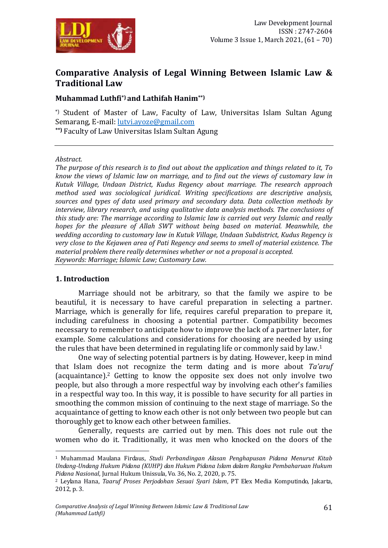

# **Comparative Analysis of Legal Winning Between Islamic Law & Traditional Law**

### **Muhammad Luthfi\*) and Lathifah Hanim\*\*)**

\*) Student of Master of Law, Faculty of Law, Universitas Islam Sultan Agung Semarang, E-mail: lutvi.avoze@gmail.com

**\*\*)** Faculty of Law Universitas Islam Sultan Agung

#### *Abstract.*

*The purpose of this research is to find out about the application and things related to it, To know the views of Islamic law on marriage, and to find out the views of customary law in Kutuk Village, Undaan District, Kudus Regency about marriage. The research approach method used was sociological juridical. Writing specifications are descriptive analysis, sources and types of data used primary and secondary data. Data collection methods by interview, library research, and using qualitative data analysis methods. The conclusions of this study are: The marriage according to Islamic law is carried out very Islamic and really hopes for the pleasure of Allah SWT without being based on material. Meanwhile, the wedding according to customary law in Kutuk Village, Undaan Subdistrict, Kudus Regency is very close to the Kejawen area of Pati Regency and seems to smell of material existence. The material problem there really determines whether or not a proposal is accepted. Keywords: Marriage; Islamic Law; Customary Law.*

#### **1. Introduction**

-

Marriage should not be arbitrary, so that the family we aspire to be beautiful, it is necessary to have careful preparation in selecting a partner. Marriage, which is generally for life, requires careful preparation to prepare it, including carefulness in choosing a potential partner. Compatibility becomes necessary to remember to anticipate how to improve the lack of a partner later, for example. Some calculations and considerations for choosing are needed by using the rules that have been determined in regulating life or commonly said by law.<sup>1</sup>

One way of selecting potential partners is by dating. However, keep in mind that Islam does not recognize the term dating and is more about *Ta'aruf* (acquaintance).<sup>2</sup> Getting to know the opposite sex does not only involve two people, but also through a more respectful way by involving each other's families in a respectful way too. In this way, it is possible to have security for all parties in smoothing the common mission of continuing to the next stage of marriage. So the acquaintance of getting to know each other is not only between two people but can thoroughly get to know each other between families.

Generally, requests are carried out by men. This does not rule out the women who do it. Traditionally, it was men who knocked on the doors of the

<sup>1</sup> Muhammad Maulana Firdaus, *Studi Perbandingan Alasan Penghapusan Pidana Menurut Kitab Undang-Undang Hukum Pidana (KUHP) dan Hukum Pidana Islam dalam Rangka Pembaharuan Hukum Pidana Nasional*, Jurnal Hukum Unissula, Vo. 36, No. 2, 2020, p. 75.

<sup>2</sup> Leylana Hana, *Taaruf Proses Perjodohan Sesuai Syari Islam*, PT Elex Media Komputindo, Jakarta, 2012, p. 3.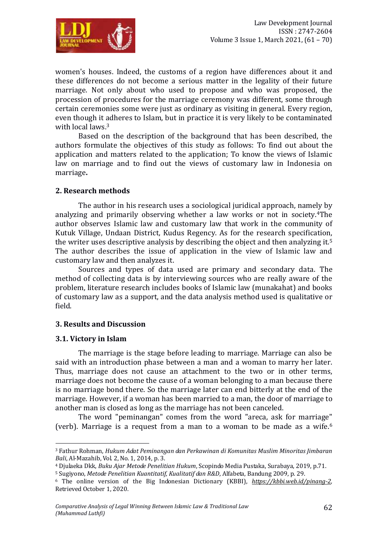

women's houses. Indeed, the customs of a region have differences about it and these differences do not become a serious matter in the legality of their future marriage. Not only about who used to propose and who was proposed, the procession of procedures for the marriage ceremony was different, some through certain ceremonies some were just as ordinary as visiting in general. Every region, even though it adheres to Islam, but in practice it is very likely to be contaminated with local laws.<sup>3</sup>

Based on the description of the background that has been described, the authors formulate the objectives of this study as follows: To find out about the application and matters related to the application; To know the views of Islamic law on marriage and to find out the views of customary law in Indonesia on marriage**.**

### **2. Research methods**

The author in his research uses a sociological juridical approach, namely by analyzing and primarily observing whether a law works or not in society.4The author observes Islamic law and customary law that work in the community of Kutuk Village, Undaan District, Kudus Regency. As for the research specification, the writer uses descriptive analysis by describing the object and then analyzing it.<sup>5</sup> The author describes the issue of application in the view of Islamic law and customary law and then analyzes it.

Sources and types of data used are primary and secondary data. The method of collecting data is by interviewing sources who are really aware of the problem, literature research includes books of Islamic law (munakahat) and books of customary law as a support, and the data analysis method used is qualitative or field.

#### **3. Results and Discussion**

#### **3.1. Victory in Islam**

1

The marriage is the stage before leading to marriage. Marriage can also be said with an introduction phase between a man and a woman to marry her later. Thus, marriage does not cause an attachment to the two or in other terms, marriage does not become the cause of a woman belonging to a man because there is no marriage bond there. So the marriage later can end bitterly at the end of the marriage. However, if a woman has been married to a man, the door of marriage to another man is closed as long as the marriage has not been canceled.

The word "peminangan" comes from the word "areca, ask for marriage" (verb). Marriage is a request from a man to a woman to be made as a wife.<sup>6</sup>

<sup>3</sup> Fathur Rohman, *Hukum Adat Peminangan dan Perkawinan di Komunitas Muslim Minoritas Jimbaran Bali*, Al-Mazahib, Vol. 2, No. 1, 2014, p. 3.

<sup>4</sup> Djulaeka Dkk, *Buku Ajar Metode Penelitian Hukum*, Scopindo Media Pustaka, Surabaya, 2019, p.71.

<sup>5</sup> Sugiyono, *Metode Penelitian Kuantitatif, Kualitatif dan R&D*, Alfabeta, Bandung 2009, p. 29.

<sup>6</sup> The online version of the Big Indonesian Dictionary (KBBI), *[https://kbbi.web.id/pinang-2,](https://kbbi.web.id/pinang-2)*  Retrieved October 1, 2020.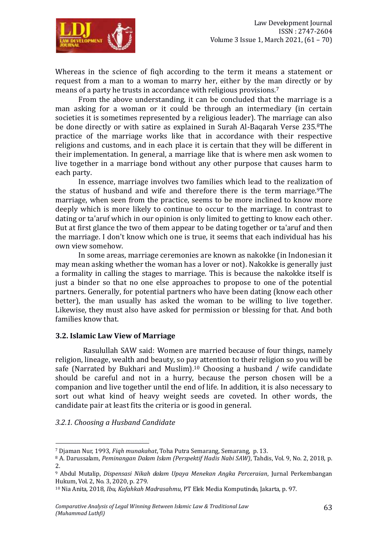

Whereas in the science of fiqh according to the term it means a statement or request from a man to a woman to marry her, either by the man directly or by means of a party he trusts in accordance with religious provisions.<sup>7</sup>

From the above understanding, it can be concluded that the marriage is a man asking for a woman or it could be through an intermediary (in certain societies it is sometimes represented by a religious leader). The marriage can also be done directly or with satire as explained in Surah Al-Baqarah Verse 235.8The practice of the marriage works like that in accordance with their respective religions and customs, and in each place it is certain that they will be different in their implementation. In general, a marriage like that is where men ask women to live together in a marriage bond without any other purpose that causes harm to each party.

In essence, marriage involves two families which lead to the realization of the status of husband and wife and therefore there is the term marriage.<sup>9</sup>The marriage, when seen from the practice, seems to be more inclined to know more deeply which is more likely to continue to occur to the marriage. In contrast to dating or ta'aruf which in our opinion is only limited to getting to know each other. But at first glance the two of them appear to be dating together or ta'aruf and then the marriage. I don't know which one is true, it seems that each individual has his own view somehow.

In some areas, marriage ceremonies are known as nakokke (in Indonesian it may mean asking whether the woman has a lover or not). Nakokke is generally just a formality in calling the stages to marriage. This is because the nakokke itself is just a binder so that no one else approaches to propose to one of the potential partners. Generally, for potential partners who have been dating (know each other better), the man usually has asked the woman to be willing to live together. Likewise, they must also have asked for permission or blessing for that. And both families know that.

### **3.2. Islamic Law View of Marriage**

Rasulullah SAW said: Women are married because of four things, namely religion, lineage, wealth and beauty, so pay attention to their religion so you will be safe (Narrated by Bukhari and Muslim).<sup>10</sup> Choosing a husband / wife candidate should be careful and not in a hurry, because the person chosen will be a companion and live together until the end of life. In addition, it is also necessary to sort out what kind of heavy weight seeds are coveted. In other words, the candidate pair at least fits the criteria or is good in general.

### *3.2.1. Choosing a Husband Candidate*

1

<sup>7</sup> Djaman Nur, 1993, *Fiqh munakahat*, Toha Putra Semarang, Semarang, p. 13.

<sup>8</sup> A. Darussalam, *Peminangan Dalam Islam (Perspektif Hadis Nabi SAW)*, Tahdis, Vol. 9, No. 2, 2018, p. 2.

<sup>9</sup> Abdul Mutalip, *Dispensasi Nikah dalam Upaya Menekan Angka Perceraian*, Jurnal Perkembangan Hukum, Vol. 2, No. 3, 2020, p. 279.

<sup>10</sup> Nia Anita, 2018, *Ibu, Kafahkah Madrasahmu*, PT Elek Media Komputindo, Jakarta, p. 97.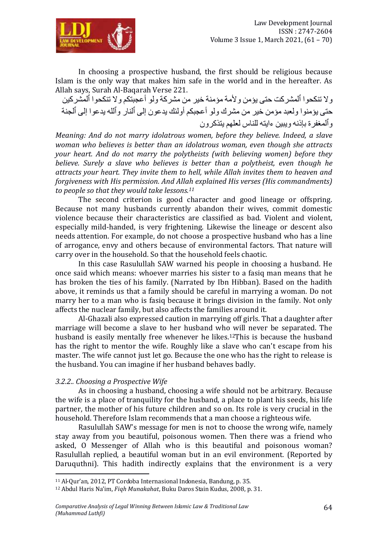

In choosing a prospective husband, the first should be religious because Islam is the only way that makes him safe in the world and in the hereafter. As Allah says, Surah Al-Baqarah Verse 221.

وال تنكحوا ٱلمشركت حتى يؤمن وألمة مؤمنة خير من مشركة ولو أعجبتكم وال تنكحوا ٱلمشركين حتى يؤمنوا ولعبد مؤمن خير من مشرك ولو أعجبكم أولئك يدعون إلى ٱلنار وٱلله يدعوا إلى ٱلجنة وٱلمغفرة بإذنه ويبين ءايته للناس لعلهم يتذكرون

*Meaning: And do not marry idolatrous women, before they believe. Indeed, a slave woman who believes is better than an idolatrous woman, even though she attracts your heart. And do not marry the polytheists (with believing women) before they believe. Surely a slave who believes is better than a polytheist, even though he attracts your heart. They invite them to hell, while Allah invites them to heaven and forgiveness with His permission. And Allah explained His verses (His commandments) to people so that they would take lessons.<sup>11</sup>*

The second criterion is good character and good lineage or offspring. Because not many husbands currently abandon their wives, commit domestic violence because their characteristics are classified as bad. Violent and violent, especially mild-handed, is very frightening. Likewise the lineage or descent also needs attention. For example, do not choose a prospective husband who has a line of arrogance, envy and others because of environmental factors. That nature will carry over in the household. So that the household feels chaotic.

In this case Rasulullah SAW warned his people in choosing a husband. He once said which means: whoever marries his sister to a fasiq man means that he has broken the ties of his family. (Narrated by Ibn Hibban). Based on the hadith above, it reminds us that a family should be careful in marrying a woman. Do not marry her to a man who is fasiq because it brings division in the family. Not only affects the nuclear family, but also affects the families around it.

Al-Ghazali also expressed caution in marrying off girls. That a daughter after marriage will become a slave to her husband who will never be separated. The husband is easily mentally free whenever he likes.<sup>12</sup>This is because the husband has the right to mentor the wife. Roughly like a slave who can't escape from his master. The wife cannot just let go. Because the one who has the right to release is the husband. You can imagine if her husband behaves badly.

### *3.2.2.. Choosing a Prospective Wife*

1

As in choosing a husband, choosing a wife should not be arbitrary. Because the wife is a place of tranquility for the husband, a place to plant his seeds, his life partner, the mother of his future children and so on. Its role is very crucial in the household. Therefore Islam recommends that a man choose a righteous wife.

Rasulullah SAW's message for men is not to choose the wrong wife, namely stay away from you beautiful, poisonous women. Then there was a friend who asked, O Messenger of Allah who is this beautiful and poisonous woman? Rasulullah replied, a beautiful woman but in an evil environment. (Reported by Daruquthni). This hadith indirectly explains that the environment is a very

<sup>11</sup> Al-Qur'an, 2012, PT Cordoba Internasional Indonesia, Bandung, p. 35.

<sup>12</sup> Abdul Haris Na'im, *Fiqh Munakahat*, Buku Daros Stain Kudus, 2008, p. 31.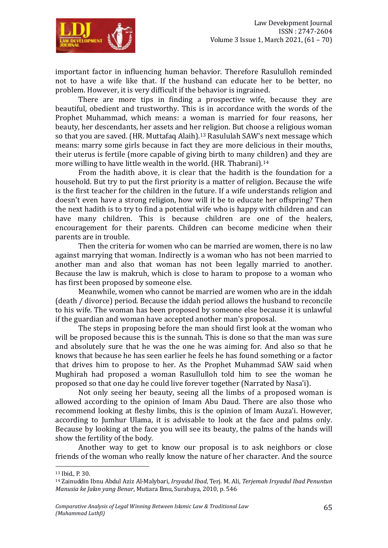

important factor in influencing human behavior. Therefore Rasululloh reminded not to have a wife like that. If the husband can educate her to be better, no problem. However, it is very difficult if the behavior is ingrained.

There are more tips in finding a prospective wife, because they are beautiful, obedient and trustworthy. This is in accordance with the words of the Prophet Muhammad, which means: a woman is married for four reasons, her beauty, her descendants, her assets and her religion. But choose a religious woman so that you are saved. (HR. Muttafaq Alaih).<sup>13</sup> Rasululah SAW's next message which means: marry some girls because in fact they are more delicious in their mouths, their uterus is fertile (more capable of giving birth to many children) and they are more willing to have little wealth in the world. (HR. Thabrani).<sup>14</sup>

From the hadith above, it is clear that the hadith is the foundation for a household. But try to put the first priority is a matter of religion. Because the wife is the first teacher for the children in the future. If a wife understands religion and doesn't even have a strong religion, how will it be to educate her offspring? Then the next hadith is to try to find a potential wife who is happy with children and can have many children. This is because children are one of the healers, encouragement for their parents. Children can become medicine when their parents are in trouble.

Then the criteria for women who can be married are women, there is no law against marrying that woman. Indirectly is a woman who has not been married to another man and also that woman has not been legally married to another. Because the law is makruh, which is close to haram to propose to a woman who has first been proposed by someone else.

Meanwhile, women who cannot be married are women who are in the iddah (death / divorce) period. Because the iddah period allows the husband to reconcile to his wife. The woman has been proposed by someone else because it is unlawful if the guardian and woman have accepted another man's proposal.

The steps in proposing before the man should first look at the woman who will be proposed because this is the sunnah. This is done so that the man was sure and absolutely sure that he was the one he was aiming for. And also so that he knows that because he has seen earlier he feels he has found something or a factor that drives him to propose to her. As the Prophet Muhammad SAW said when Mughirah had proposed a woman Rasullulloh told him to see the woman he proposed so that one day he could live forever together (Narrated by Nasa'i).

Not only seeing her beauty, seeing all the limbs of a proposed woman is allowed according to the opinion of Imam Abu Daud. There are also those who recommend looking at fleshy limbs, this is the opinion of Imam Auza'i. However, according to Jumhur Ulama, it is advisable to look at the face and palms only. Because by looking at the face you will see its beauty, the palms of the hands will show the fertility of the body.

Another way to get to know our proposal is to ask neighbors or close friends of the woman who really know the nature of her character. And the source

**.** 

<sup>13</sup> Ibid., P. 30.

<sup>14</sup> Zainuddin Ibnu Abdul Aziz Al-Malybari, *Irsyadul Ibad*, Terj. M. Ali, *Terjemah Irsyadul Ibad Penuntun Manusia ke Jalan yang Benar*, Mutiara Ilmu, Surabaya, 2010, p. 546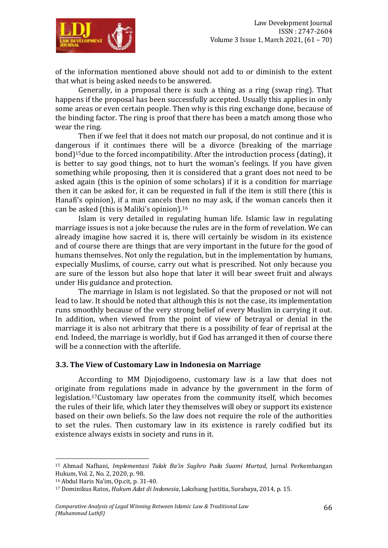

of the information mentioned above should not add to or diminish to the extent that what is being asked needs to be answered.

Generally, in a proposal there is such a thing as a ring (swap ring). That happens if the proposal has been successfully accepted. Usually this applies in only some areas or even certain people. Then why is this ring exchange done, because of the binding factor. The ring is proof that there has been a match among those who wear the ring.

Then if we feel that it does not match our proposal, do not continue and it is dangerous if it continues there will be a divorce (breaking of the marriage bond)<sup>15</sup> due to the forced incompatibility. After the introduction process (dating), it is better to say good things, not to hurt the woman's feelings. If you have given something while proposing, then it is considered that a grant does not need to be asked again (this is the opinion of some scholars) if it is a condition for marriage then it can be asked for, it can be requested in full if the item is still there (this is Hanafi's opinion), if a man cancels then no may ask, if the woman cancels then it can be asked (this is Maliki's opinion).<sup>16</sup>

Islam is very detailed in regulating human life. Islamic law in regulating marriage issues is not a joke because the rules are in the form of revelation. We can already imagine how sacred it is, there will certainly be wisdom in its existence and of course there are things that are very important in the future for the good of humans themselves. Not only the regulation, but in the implementation by humans, especially Muslims, of course, carry out what is prescribed. Not only because you are sure of the lesson but also hope that later it will bear sweet fruit and always under His guidance and protection.

The marriage in Islam is not legislated. So that the proposed or not will not lead to law. It should be noted that although this is not the case, its implementation runs smoothly because of the very strong belief of every Muslim in carrying it out. In addition, when viewed from the point of view of betrayal or denial in the marriage it is also not arbitrary that there is a possibility of fear of reprisal at the end. Indeed, the marriage is worldly, but if God has arranged it then of course there will be a connection with the afterlife.

#### **3.3. The View of Customary Law in Indonesia on Marriage**

According to MM Djojodigoeno, customary law is a law that does not originate from regulations made in advance by the government in the form of legislation.17Customary law operates from the community itself, which becomes the rules of their life, which later they themselves will obey or support its existence based on their own beliefs. So the law does not require the role of the authorities to set the rules. Then customary law in its existence is rarely codified but its existence always exists in society and runs in it.

-

<sup>15</sup> Ahmad Nafhani, *Implementasi Talak Ba'in Sughro Pada Suami Murtad*, Jurnal Perkembangan Hukum, Vol. 2, No. 2, 2020, p. 98.

<sup>16</sup> Abdul Haris Na'im, Op.cit, p. 31-40.

<sup>17</sup> Dominikus Ratos, *Hukum Adat di Indonesia*, Laksbang Justitia, Surabaya, 2014, p. 15.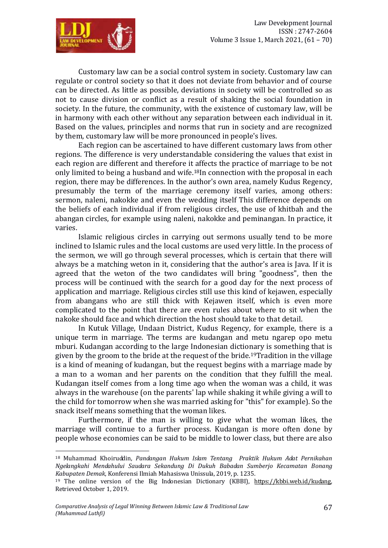

Customary law can be a social control system in society. Customary law can regulate or control society so that it does not deviate from behavior and of course can be directed. As little as possible, deviations in society will be controlled so as not to cause division or conflict as a result of shaking the social foundation in society. In the future, the community, with the existence of customary law, will be in harmony with each other without any separation between each individual in it. Based on the values, principles and norms that run in society and are recognized by them, customary law will be more pronounced in people's lives.

Each region can be ascertained to have different customary laws from other regions. The difference is very understandable considering the values that exist in each region are different and therefore it affects the practice of marriage to be not only limited to being a husband and wife.18In connection with the proposal in each region, there may be differences. In the author's own area, namely Kudus Regency, presumably the term of the marriage ceremony itself varies, among others: sermon, naleni, nakokke and even the wedding itself This difference depends on the beliefs of each individual if from religious circles, the use of khitbah and the abangan circles, for example using naleni, nakokke and peminangan. In practice, it varies.

Islamic religious circles in carrying out sermons usually tend to be more inclined to Islamic rules and the local customs are used very little. In the process of the sermon, we will go through several processes, which is certain that there will always be a matching weton in it, considering that the author's area is Java. If it is agreed that the weton of the two candidates will bring "goodness", then the process will be continued with the search for a good day for the next process of application and marriage. Religious circles still use this kind of kejawen, especially from abangans who are still thick with Kejawen itself, which is even more complicated to the point that there are even rules about where to sit when the nakoke should face and which direction the host should take to that detail.

In Kutuk Village, Undaan District, Kudus Regency, for example, there is a unique term in marriage. The terms are kudangan and metu ngarep opo metu mburi. Kudangan according to the large Indonesian dictionary is something that is given by the groom to the bride at the request of the bride.19Tradition in the village is a kind of meaning of kudangan, but the request begins with a marriage made by a man to a woman and her parents on the condition that they fulfill the meal. Kudangan itself comes from a long time ago when the woman was a child, it was always in the warehouse (on the parents' lap while shaking it while giving a will to the child for tomorrow when she was married asking for "this" for example). So the snack itself means something that the woman likes.

Furthermore, if the man is willing to give what the woman likes, the marriage will continue to a further process. Kudangan is more often done by people whose economies can be said to be middle to lower class, but there are also

-

<sup>18</sup> Muhammad Khoiruddin, *Pandangan Hukum Islam Tentang Praktik Hukum Adat Pernikahan Ngelangkahi Mendahului Saudara Sekandung Di Dukuh Babadan Sumberjo Kecamatan Bonang Kabupaten Demak*, Konferensi Ilmiah Mahasiswa Unissula, 2019, p. 1235.

<sup>19</sup> The online version of the Big Indonesian Dictionary (KBBI), <https://kbbi.web.id/kudang>*,*  Retrieved October 1, 2019.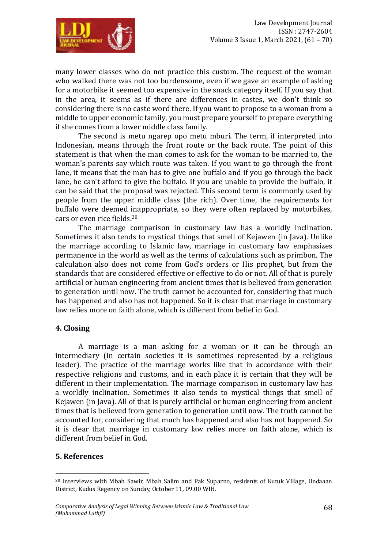

many lower classes who do not practice this custom. The request of the woman who walked there was not too burdensome, even if we gave an example of asking for a motorbike it seemed too expensive in the snack category itself. If you say that in the area, it seems as if there are differences in castes, we don't think so considering there is no caste word there. If you want to propose to a woman from a middle to upper economic family, you must prepare yourself to prepare everything if she comes from a lower middle class family.

The second is metu ngarep opo metu mburi. The term, if interpreted into Indonesian, means through the front route or the back route. The point of this statement is that when the man comes to ask for the woman to be married to, the woman's parents say which route was taken. If you want to go through the front lane, it means that the man has to give one buffalo and if you go through the back lane, he can't afford to give the buffalo. If you are unable to provide the buffalo, it can be said that the proposal was rejected. This second term is commonly used by people from the upper middle class (the rich). Over time, the requirements for buffalo were deemed inappropriate, so they were often replaced by motorbikes, cars or even rice fields.<sup>20</sup>

The marriage comparison in customary law has a worldly inclination. Sometimes it also tends to mystical things that smell of Kejawen (in Java). Unlike the marriage according to Islamic law, marriage in customary law emphasizes permanence in the world as well as the terms of calculations such as primbon. The calculation also does not come from God's orders or His prophet, but from the standards that are considered effective or effective to do or not. All of that is purely artificial or human engineering from ancient times that is believed from generation to generation until now. The truth cannot be accounted for, considering that much has happened and also has not happened. So it is clear that marriage in customary law relies more on faith alone, which is different from belief in God.

### **4. Closing**

A marriage is a man asking for a woman or it can be through an intermediary (in certain societies it is sometimes represented by a religious leader). The practice of the marriage works like that in accordance with their respective religions and customs, and in each place it is certain that they will be different in their implementation. The marriage comparison in customary law has a worldly inclination. Sometimes it also tends to mystical things that smell of Kejawen (in Java). All of that is purely artificial or human engineering from ancient times that is believed from generation to generation until now. The truth cannot be accounted for, considering that much has happened and also has not happened. So it is clear that marriage in customary law relies more on faith alone, which is different from belief in God.

#### **5. References**

1

<sup>&</sup>lt;sup>20</sup> Interviews with Mbah Sawir, Mbah Salim and Pak Suparno, residents of Kutuk Village, Undaaan District, Kudus Regency on Sunday, October 11, 09.00 WIB.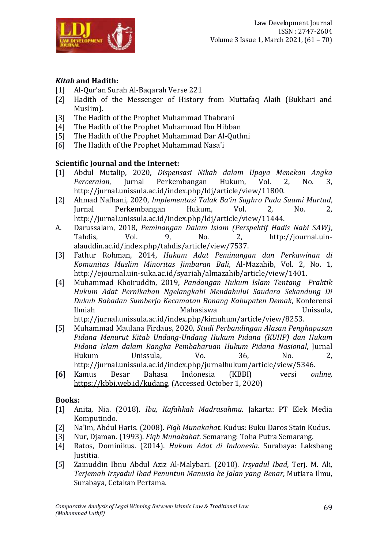

# *Kitab* **and Hadith:**

- [1] Al-Qur'an Surah Al-Baqarah Verse 221
- [2] Hadith of the Messenger of History from Muttafaq Alaih (Bukhari and Muslim).
- [3] The Hadith of the Prophet Muhammad Thabrani
- [4] The Hadith of the Prophet Muhammad Ibn Hibban
- [5] The Hadith of the Prophet Muhammad Dar Al-Quthni
- [6] The Hadith of the Prophet Muhammad Nasa'i

## **Scientific Journal and the Internet:**

- [1] Abdul Mutalip, 2020, *Dispensasi Nikah dalam Upaya Menekan Angka Perceraian*, Jurnal Perkembangan Hukum, Vol. 2, No. 3, http://jurnal.unissula.ac.id/index.php/ldj/article/view/11800.
- [2] Ahmad Nafhani, 2020, *Implementasi Talak Ba'in Sughro Pada Suami Murtad*, Jurnal Perkembangan Hukum, Vol. 2, No. 2, http://jurnal.unissula.ac.id/index.php/ldj/article/view/11444.
- A. Darussalam, 2018, *Peminangan Dalam Islam (Perspektif Hadis Nabi SAW)*, Tahdis, Vol. 9, No. 2, http://journal.uinalauddin.ac.id/index.php/tahdis/article/view/7537.
- [3] Fathur Rohman, 2014, *Hukum Adat Peminangan dan Perkawinan di Komunitas Muslim Minoritas Jimbaran Bali*, Al-Mazahib, Vol. 2, No. 1, http://ejournal.uin-suka.ac.id/syariah/almazahib/article/view/1401.
- [4] Muhammad Khoiruddin, 2019, *Pandangan Hukum Islam Tentang Praktik Hukum Adat Pernikahan Ngelangkahi Mendahului Saudara Sekandung Di Dukuh Babadan Sumberjo Kecamatan Bonang Kabupaten Demak*, Konferensi Ilmiah Mahasiswa Unissula, http://jurnal.unissula.ac.id/index.php/kimuhum/article/view/8253.
- [5] Muhammad Maulana Firdaus, 2020, *Studi Perbandingan Alasan Penghapusan Pidana Menurut Kitab Undang-Undang Hukum Pidana (KUHP) dan Hukum Pidana Islam dalam Rangka Pembaharuan Hukum Pidana Nasional*, Jurnal Hukum Unissula, Vo. 36, No. 2, http://jurnal.unissula.ac.id/index.php/jurnalhukum/article/view/5346.
- **[6]** Kamus Besar Bahasa Indonesia (KBBI) versi *online,*  <https://kbbi.web.id/kudang>*,* (Accessed October 1, 2020)

### **Books:**

- [1] Anita, Nia. (2018). *Ibu, Kafahkah Madrasahmu*. Jakarta: PT Elek Media Komputindo.
- [2] Na'im, Abdul Haris. (2008). *Fiqh Munakahat*. Kudus: Buku Daros Stain Kudus.
- [3] Nur, Djaman. (1993). *Fiqh Munakahat*. Semarang: Toha Putra Semarang.
- [4] Ratos, Dominikus. (2014). *Hukum Adat di Indonesia*. Surabaya: Laksbang Justitia.
- [5] Zainuddin Ibnu Abdul Aziz Al-Malybari. (2010). *Irsyadul Ibad*, Terj. M. Ali, *Terjemah Irsyadul Ibad Penuntun Manusia ke Jalan yang Benar*, Mutiara Ilmu, Surabaya, Cetakan Pertama.